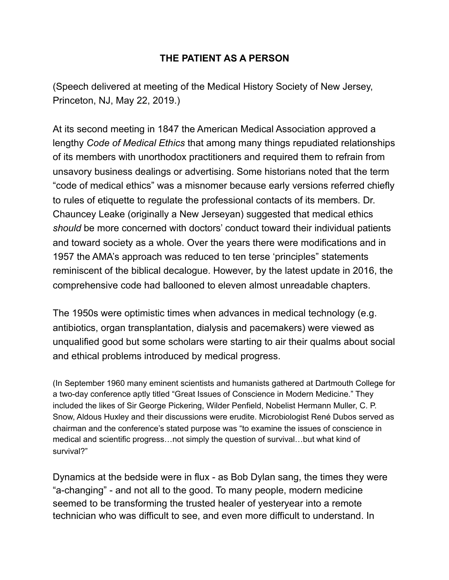## **THE PATIENT AS A PERSON**

(Speech delivered at meeting of the Medical History Society of New Jersey, Princeton, NJ, May 22, 2019.)

At its second meeting in 1847 the American Medical Association approved a lengthy *Code of Medical Ethics* that among many things repudiated relationships of its members with unorthodox practitioners and required them to refrain from unsavory business dealings or advertising. Some historians noted that the term "code of medical ethics" was a misnomer because early versions referred chiefly to rules of etiquette to regulate the professional contacts of its members. Dr. Chauncey Leake (originally a New Jerseyan) suggested that medical ethics *should* be more concerned with doctors' conduct toward their individual patients and toward society as a whole. Over the years there were modifications and in 1957 the AMA's approach was reduced to ten terse 'principles" statements reminiscent of the biblical decalogue. However, by the latest update in 2016, the comprehensive code had ballooned to eleven almost unreadable chapters.

The 1950s were optimistic times when advances in medical technology (e.g. antibiotics, organ transplantation, dialysis and pacemakers) were viewed as unqualified good but some scholars were starting to air their qualms about social and ethical problems introduced by medical progress.

(In September 1960 many eminent scientists and humanists gathered at Dartmouth College for a two-day conference aptly titled "Great Issues of Conscience in Modern Medicine." They included the likes of Sir George Pickering, Wilder Penfield, Nobelist Hermann Muller, C. P. Snow, Aldous Huxley and their discussions were erudite. Microbiologist René Dubos served as chairman and the conference's stated purpose was "to examine the issues of conscience in medical and scientific progress…not simply the question of survival…but what kind of survival?"

Dynamics at the bedside were in flux - as Bob Dylan sang, the times they were "a-changing" - and not all to the good. To many people, modern medicine seemed to be transforming the trusted healer of yesteryear into a remote technician who was difficult to see, and even more difficult to understand. In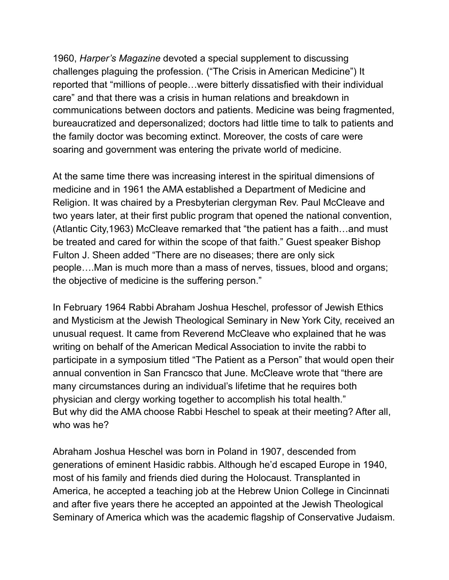1960, *Harper's Magazine* devoted a special supplement to discussing challenges plaguing the profession. ("The Crisis in American Medicine") It reported that "millions of people…were bitterly dissatisfied with their individual care" and that there was a crisis in human relations and breakdown in communications between doctors and patients. Medicine was being fragmented, bureaucratized and depersonalized; doctors had little time to talk to patients and the family doctor was becoming extinct. Moreover, the costs of care were soaring and government was entering the private world of medicine.

At the same time there was increasing interest in the spiritual dimensions of medicine and in 1961 the AMA established a Department of Medicine and Religion. It was chaired by a Presbyterian clergyman Rev. Paul McCleave and two years later, at their first public program that opened the national convention, (Atlantic City,1963) McCleave remarked that "the patient has a faith…and must be treated and cared for within the scope of that faith." Guest speaker Bishop Fulton J. Sheen added "There are no diseases; there are only sick people….Man is much more than a mass of nerves, tissues, blood and organs; the objective of medicine is the suffering person."

In February 1964 Rabbi Abraham Joshua Heschel, professor of Jewish Ethics and Mysticism at the Jewish Theological Seminary in New York City, received an unusual request. It came from Reverend McCleave who explained that he was writing on behalf of the American Medical Association to invite the rabbi to participate in a symposium titled "The Patient as a Person" that would open their annual convention in San Francsco that June. McCleave wrote that "there are many circumstances during an individual's lifetime that he requires both physician and clergy working together to accomplish his total health." But why did the AMA choose Rabbi Heschel to speak at their meeting? After all, who was he?

Abraham Joshua Heschel was born in Poland in 1907, descended from generations of eminent Hasidic rabbis. Although he'd escaped Europe in 1940, most of his family and friends died during the Holocaust. Transplanted in America, he accepted a teaching job at the Hebrew Union College in Cincinnati and after five years there he accepted an appointed at the Jewish Theological Seminary of America which was the academic flagship of Conservative Judaism.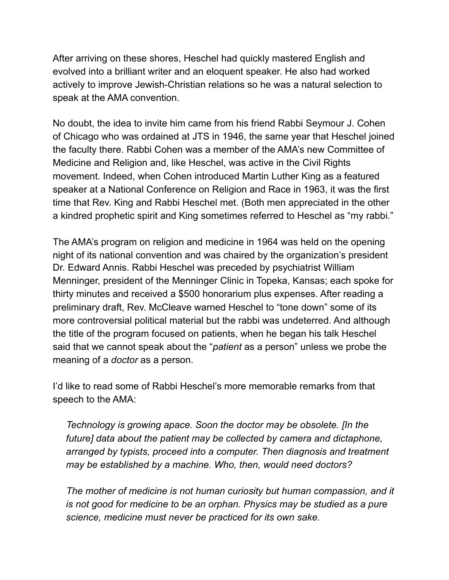After arriving on these shores, Heschel had quickly mastered English and evolved into a brilliant writer and an eloquent speaker. He also had worked actively to improve Jewish-Christian relations so he was a natural selection to speak at the AMA convention.

No doubt, the idea to invite him came from his friend Rabbi Seymour J. Cohen of Chicago who was ordained at JTS in 1946, the same year that Heschel joined the faculty there. Rabbi Cohen was a member of the AMA's new Committee of Medicine and Religion and, like Heschel, was active in the Civil Rights movement. Indeed, when Cohen introduced Martin Luther King as a featured speaker at a National Conference on Religion and Race in 1963, it was the first time that Rev. King and Rabbi Heschel met. (Both men appreciated in the other a kindred prophetic spirit and King sometimes referred to Heschel as "my rabbi."

The AMA's program on religion and medicine in 1964 was held on the opening night of its national convention and was chaired by the organization's president Dr. Edward Annis. Rabbi Heschel was preceded by psychiatrist William Menninger, president of the Menninger Clinic in Topeka, Kansas; each spoke for thirty minutes and received a \$500 honorarium plus expenses. After reading a preliminary draft, Rev. McCleave warned Heschel to "tone down" some of its more controversial political material but the rabbi was undeterred. And although the title of the program focused on patients, when he began his talk Heschel said that we cannot speak about the "*patient* as a person" unless we probe the meaning of a *doctor* as a person.

I'd like to read some of Rabbi Heschel's more memorable remarks from that speech to the AMA:

 *Technology is growing apace. Soon the doctor may be obsolete. [In the future] data about the patient may be collected by camera and dictaphone, arranged by typists, proceed into a computer. Then diagnosis and treatment may be established by a machine. Who, then, would need doctors?* 

 *The mother of medicine is not human curiosity but human compassion, and it is not good for medicine to be an orphan. Physics may be studied as a pure science, medicine must never be practiced for its own sake.*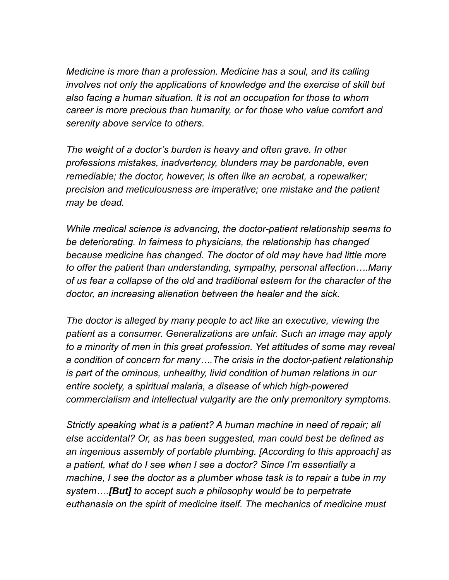*Medicine is more than a profession. Medicine has a soul, and its calling involves not only the applications of knowledge and the exercise of skill but also facing a human situation. It is not an occupation for those to whom career is more precious than humanity, or for those who value comfort and serenity above service to others.* 

 *The weight of a doctor's burden is heavy and often grave. In other professions mistakes, inadvertency, blunders may be pardonable, even remediable; the doctor, however, is often like an acrobat, a ropewalker; precision and meticulousness are imperative; one mistake and the patient may be dead.* 

 *While medical science is advancing, the doctor-patient relationship seems to be deteriorating. In fairness to physicians, the relationship has changed because medicine has changed. The doctor of old may have had little more to offer the patient than understanding, sympathy, personal affection….Many of us fear a collapse of the old and traditional esteem for the character of the doctor, an increasing alienation between the healer and the sick.* 

 *The doctor is alleged by many people to act like an executive, viewing the patient as a consumer. Generalizations are unfair. Such an image may apply to a minority of men in this great profession. Yet attitudes of some may reveal a condition of concern for many….The crisis in the doctor-patient relationship is part of the ominous, unhealthy, livid condition of human relations in our entire society, a spiritual malaria, a disease of which high-powered commercialism and intellectual vulgarity are the only premonitory symptoms.* 

 *Strictly speaking what is a patient? A human machine in need of repair; all else accidental? Or, as has been suggested, man could best be defined as an ingenious assembly of portable plumbing. [According to this approach] as a patient, what do I see when I see a doctor? Since I'm essentially a machine, I see the doctor as a plumber whose task is to repair a tube in my system….[But] to accept such a philosophy would be to perpetrate euthanasia on the spirit of medicine itself. The mechanics of medicine must*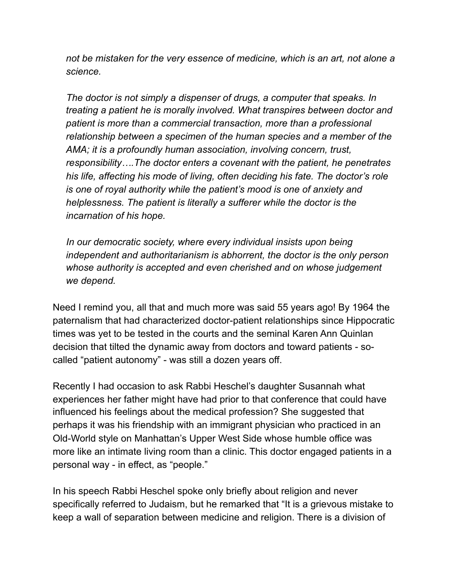not be mistaken for the very essence of medicine, which is an art, not alone a *science.* 

 *The doctor is not simply a dispenser of drugs, a computer that speaks. In treating a patient he is morally involved. What transpires between doctor and patient is more than a commercial transaction, more than a professional relationship between a specimen of the human species and a member of the AMA; it is a profoundly human association, involving concern, trust, responsibility….The doctor enters a covenant with the patient, he penetrates his life, affecting his mode of living, often deciding his fate. The doctor's role is one of royal authority while the patient's mood is one of anxiety and helplessness. The patient is literally a sufferer while the doctor is the incarnation of his hope.* 

 *In our democratic society, where every individual insists upon being independent and authoritarianism is abhorrent, the doctor is the only person whose authority is accepted and even cherished and on whose judgement we depend.* 

Need I remind you, all that and much more was said 55 years ago! By 1964 the paternalism that had characterized doctor-patient relationships since Hippocratic times was yet to be tested in the courts and the seminal Karen Ann Quinlan decision that tilted the dynamic away from doctors and toward patients - socalled "patient autonomy" - was still a dozen years off.

Recently I had occasion to ask Rabbi Heschel's daughter Susannah what experiences her father might have had prior to that conference that could have influenced his feelings about the medical profession? She suggested that perhaps it was his friendship with an immigrant physician who practiced in an Old-World style on Manhattan's Upper West Side whose humble office was more like an intimate living room than a clinic. This doctor engaged patients in a personal way - in effect, as "people."

In his speech Rabbi Heschel spoke only briefly about religion and never specifically referred to Judaism, but he remarked that "It is a grievous mistake to keep a wall of separation between medicine and religion. There is a division of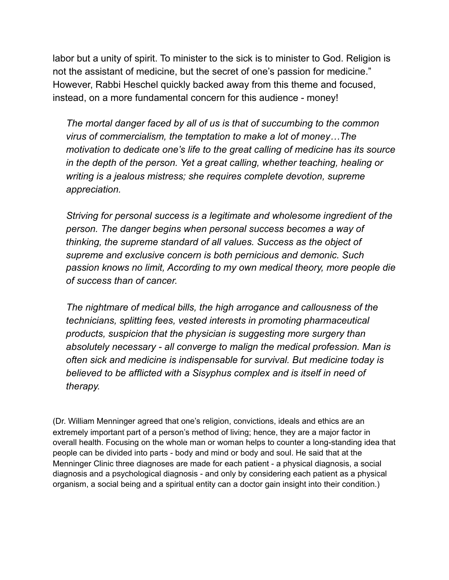labor but a unity of spirit. To minister to the sick is to minister to God. Religion is not the assistant of medicine, but the secret of one's passion for medicine." However, Rabbi Heschel quickly backed away from this theme and focused, instead, on a more fundamental concern for this audience - money!

 *The mortal danger faced by all of us is that of succumbing to the common virus of commercialism, the temptation to make a lot of money…The motivation to dedicate one's life to the great calling of medicine has its source in the depth of the person. Yet a great calling, whether teaching, healing or writing is a jealous mistress; she requires complete devotion, supreme appreciation.* 

 *Striving for personal success is a legitimate and wholesome ingredient of the person. The danger begins when personal success becomes a way of thinking, the supreme standard of all values. Success as the object of supreme and exclusive concern is both pernicious and demonic. Such passion knows no limit, According to my own medical theory, more people die of success than of cancer.* 

 *The nightmare of medical bills, the high arrogance and callousness of the technicians, splitting fees, vested interests in promoting pharmaceutical products, suspicion that the physician is suggesting more surgery than absolutely necessary - all converge to malign the medical profession. Man is often sick and medicine is indispensable for survival. But medicine today is believed to be afflicted with a Sisyphus complex and is itself in need of therapy.* 

(Dr. William Menninger agreed that one's religion, convictions, ideals and ethics are an extremely important part of a person's method of living; hence, they are a major factor in overall health. Focusing on the whole man or woman helps to counter a long-standing idea that people can be divided into parts - body and mind or body and soul. He said that at the Menninger Clinic three diagnoses are made for each patient - a physical diagnosis, a social diagnosis and a psychological diagnosis - and only by considering each patient as a physical organism, a social being and a spiritual entity can a doctor gain insight into their condition.)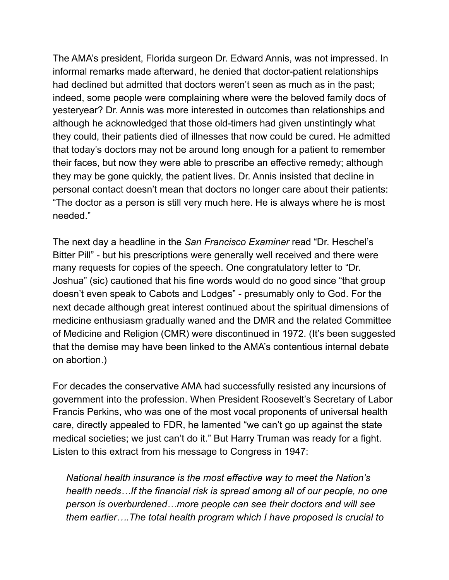The AMA's president, Florida surgeon Dr. Edward Annis, was not impressed. In informal remarks made afterward, he denied that doctor-patient relationships had declined but admitted that doctors weren't seen as much as in the past; indeed, some people were complaining where were the beloved family docs of yesteryear? Dr. Annis was more interested in outcomes than relationships and although he acknowledged that those old-timers had given unstintingly what they could, their patients died of illnesses that now could be cured. He admitted that today's doctors may not be around long enough for a patient to remember their faces, but now they were able to prescribe an effective remedy; although they may be gone quickly, the patient lives. Dr. Annis insisted that decline in personal contact doesn't mean that doctors no longer care about their patients: "The doctor as a person is still very much here. He is always where he is most needed."

The next day a headline in the *San Francisco Examiner* read "Dr. Heschel's Bitter Pill" - but his prescriptions were generally well received and there were many requests for copies of the speech. One congratulatory letter to "Dr. Joshua" (sic) cautioned that his fine words would do no good since "that group doesn't even speak to Cabots and Lodges" - presumably only to God. For the next decade although great interest continued about the spiritual dimensions of medicine enthusiasm gradually waned and the DMR and the related Committee of Medicine and Religion (CMR) were discontinued in 1972. (It's been suggested that the demise may have been linked to the AMA's contentious internal debate on abortion.)

For decades the conservative AMA had successfully resisted any incursions of government into the profession. When President Roosevelt's Secretary of Labor Francis Perkins, who was one of the most vocal proponents of universal health care, directly appealed to FDR, he lamented "we can't go up against the state medical societies; we just can't do it." But Harry Truman was ready for a fight. Listen to this extract from his message to Congress in 1947:

 *National health insurance is the most effective way to meet the Nation's health needs…If the financial risk is spread among all of our people, no one person is overburdened…more people can see their doctors and will see them earlier….The total health program which I have proposed is crucial to*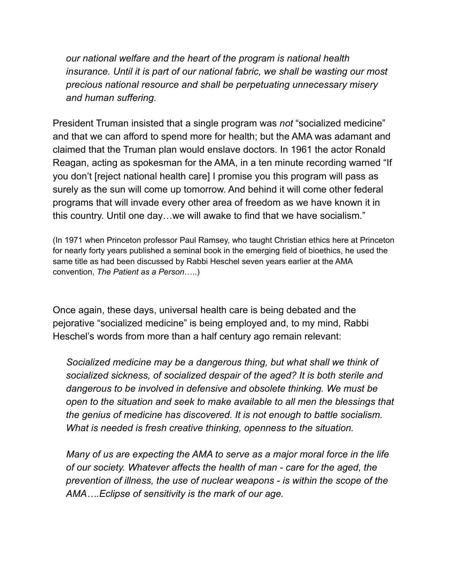*our national welfare and the heart of the program is national health insurance. Until it is part of our national fabric, we shall be wasting our most precious national resource and shall be perpetuating unnecessary misery and human suffering.* 

President Truman insisted that a single program was *not* "socialized medicine" and that we can afford to spend more for health; but the AMA was adamant and claimed that the Truman plan would enslave doctors. In 1961 the actor Ronald Reagan, acting as spokesman for the AMA, in a ten minute recording warned "If you don't [reject national health care] I promise you this program will pass as surely as the sun will come up tomorrow. And behind it will come other federal programs that will invade every other area of freedom as we have known it in this country. Until one day…we will awake to find that we have socialism."

(In 1971 when Princeton professor Paul Ramsey, who taught Christian ethics here at Princeton for nearly forty years published a seminal book in the emerging field of bioethics, he used the same title as had been discussed by Rabbi Heschel seven years earlier at the AMA convention, *The Patient as a Person*…..)

Once again, these days, universal health care is being debated and the pejorative "socialized medicine" is being employed and, to my mind, Rabbi Heschel's words from more than a half century ago remain relevant:

 *Socialized medicine may be a dangerous thing, but what shall we think of socialized sickness, of socialized despair of the aged? It is both sterile and dangerous to be involved in defensive and obsolete thinking. We must be open to the situation and seek to make available to all men the blessings that the genius of medicine has discovered. It is not enough to battle socialism. What is needed is fresh creative thinking, openness to the situation.* 

 *Many of us are expecting the AMA to serve as a major moral force in the life of our society. Whatever affects the health of man - care for the aged, the prevention of illness, the use of nuclear weapons - is within the scope of the AMA….Eclipse of sensitivity is the mark of our age.*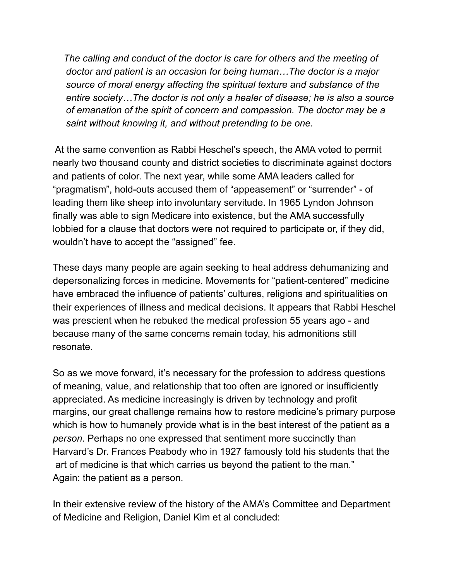*The calling and conduct of the doctor is care for others and the meeting of doctor and patient is an occasion for being human…The doctor is a major source of moral energy affecting the spiritual texture and substance of the entire society…The doctor is not only a healer of disease; he is also a source of emanation of the spirit of concern and compassion. The doctor may be a saint without knowing it, and without pretending to be one.* 

 At the same convention as Rabbi Heschel's speech, the AMA voted to permit nearly two thousand county and district societies to discriminate against doctors and patients of color. The next year, while some AMA leaders called for "pragmatism", hold-outs accused them of "appeasement" or "surrender" - of leading them like sheep into involuntary servitude. In 1965 Lyndon Johnson finally was able to sign Medicare into existence, but the AMA successfully lobbied for a clause that doctors were not required to participate or, if they did, wouldn't have to accept the "assigned" fee.

These days many people are again seeking to heal address dehumanizing and depersonalizing forces in medicine. Movements for "patient-centered" medicine have embraced the influence of patients' cultures, religions and spiritualities on their experiences of illness and medical decisions. It appears that Rabbi Heschel was prescient when he rebuked the medical profession 55 years ago - and because many of the same concerns remain today, his admonitions still resonate.

So as we move forward, it's necessary for the profession to address questions of meaning, value, and relationship that too often are ignored or insufficiently appreciated. As medicine increasingly is driven by technology and profit margins, our great challenge remains how to restore medicine's primary purpose which is how to humanely provide what is in the best interest of the patient as a *person*. Perhaps no one expressed that sentiment more succinctly than Harvard's Dr. Frances Peabody who in 1927 famously told his students that the art of medicine is that which carries us beyond the patient to the man." Again: the patient as a person.

In their extensive review of the history of the AMA's Committee and Department of Medicine and Religion, Daniel Kim et al concluded: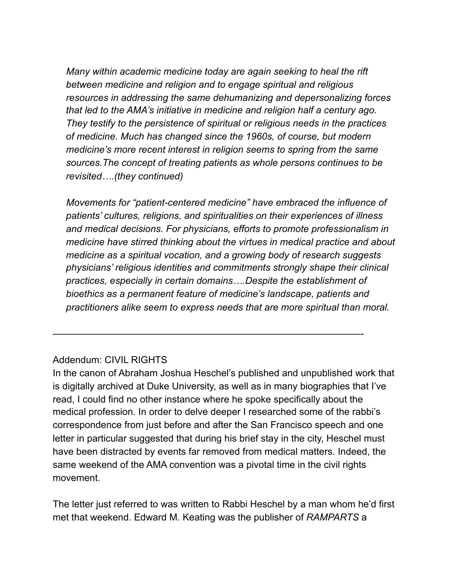*Many within academic medicine today are again seeking to heal the rift between medicine and religion and to engage spiritual and religious resources in addressing the same dehumanizing and depersonalizing forces that led to the AMA's initiative in medicine and religion half a century ago. They testify to the persistence of spiritual or religious needs in the practices of medicine. Much has changed since the 1960s, of course, but modern medicine's more recent interest in religion seems to spring from the same sources.The concept of treating patients as whole persons continues to be revisited….(they continued)* 

 *Movements for "patient-centered medicine" have embraced the influence of patients' cultures, religions, and spiritualities on their experiences of illness and medical decisions. For physicians, efforts to promote professionalism in medicine have stirred thinking about the virtues in medical practice and about medicine as a spiritual vocation, and a growing body of research suggests physicians' religious identities and commitments strongly shape their clinical practices, especially in certain domains….Despite the establishment of bioethics as a permanent feature of medicine's landscape, patients and practitioners alike seem to express needs that are more spiritual than moral.* 

## Addendum: CIVIL RIGHTS

In the canon of Abraham Joshua Heschel's published and unpublished work that is digitally archived at Duke University, as well as in many biographies that I've read, I could find no other instance where he spoke specifically about the medical profession. In order to delve deeper I researched some of the rabbi's correspondence from just before and after the San Francisco speech and one letter in particular suggested that during his brief stay in the city, Heschel must have been distracted by events far removed from medical matters. Indeed, the same weekend of the AMA convention was a pivotal time in the civil rights movement.

————————————————————————————————-

The letter just referred to was written to Rabbi Heschel by a man whom he'd first met that weekend. Edward M. Keating was the publisher of *RAMPARTS* a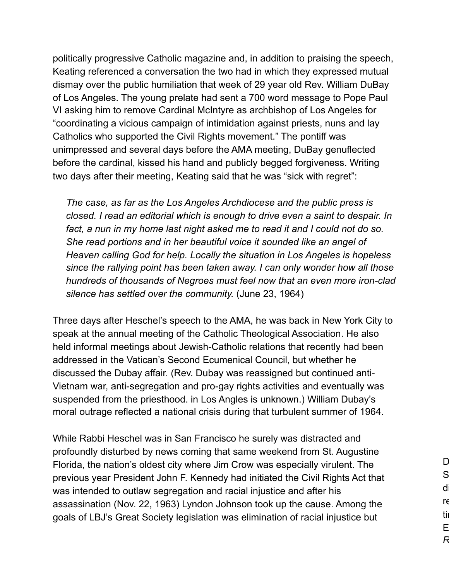politically progressive Catholic magazine and, in addition to praising the speech, Keating referenced a conversation the two had in which they expressed mutual dismay over the public humiliation that week of 29 year old Rev. William DuBay of Los Angeles. The young prelate had sent a 700 word message to Pope Paul VI asking him to remove Cardinal McIntyre as archbishop of Los Angeles for "coordinating a vicious campaign of intimidation against priests, nuns and lay Catholics who supported the Civil Rights movement." The pontiff was unimpressed and several days before the AMA meeting, DuBay genuflected before the cardinal, kissed his hand and publicly begged forgiveness. Writing two days after their meeting, Keating said that he was "sick with regret":

 *The case, as far as the Los Angeles Archdiocese and the public press is closed. I read an editorial which is enough to drive even a saint to despair. In*  fact, a nun in my home last night asked me to read it and I could not do so. *She read portions and in her beautiful voice it sounded like an angel of Heaven calling God for help. Locally the situation in Los Angeles is hopeless since the rallying point has been taken away. I can only wonder how all those hundreds of thousands of Negroes must feel now that an even more iron-clad silence has settled over the community.* (June 23, 1964)

Three days after Heschel's speech to the AMA, he was back in New York City to speak at the annual meeting of the Catholic Theological Association. He also held informal meetings about Jewish-Catholic relations that recently had been addressed in the Vatican's Second Ecumenical Council, but whether he discussed the Dubay affair. (Rev. Dubay was reassigned but continued anti-Vietnam war, anti-segregation and pro-gay rights activities and eventually was suspended from the priesthood. in Los Angles is unknown.) William Dubay's moral outrage reflected a national crisis during that turbulent summer of 1964.

While Rabbi Heschel was in San Francisco he surely was distracted and profoundly disturbed by news coming that same weekend from St. Augustine Florida, the nation's oldest city where Jim Crow was especially virulent. The previous year President John F. Kennedy had initiated the Civil Rights Act that was intended to outlaw segregation and racial injustice and after his assassination (Nov. 22, 1963) Lyndon Johnson took up the cause. Among the goals of LBJ's Great Society legislation was elimination of racial injustice but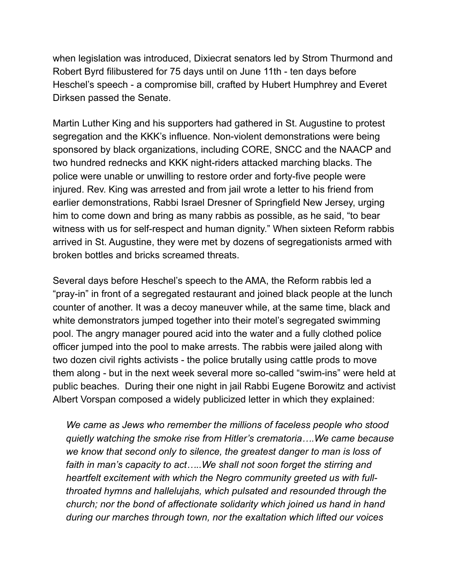when legislation was introduced, Dixiecrat senators led by Strom Thurmond and Robert Byrd filibustered for 75 days until on June 11th - ten days before Heschel's speech - a compromise bill, crafted by Hubert Humphrey and Everet Dirksen passed the Senate.

Martin Luther King and his supporters had gathered in St. Augustine to protest segregation and the KKK's influence. Non-violent demonstrations were being sponsored by black organizations, including CORE, SNCC and the NAACP and two hundred rednecks and KKK night-riders attacked marching blacks. The police were unable or unwilling to restore order and forty-five people were injured. Rev. King was arrested and from jail wrote a letter to his friend from earlier demonstrations, Rabbi Israel Dresner of Springfield New Jersey, urging him to come down and bring as many rabbis as possible, as he said, "to bear witness with us for self-respect and human dignity." When sixteen Reform rabbis arrived in St. Augustine, they were met by dozens of segregationists armed with broken bottles and bricks screamed threats.

Several days before Heschel's speech to the AMA, the Reform rabbis led a "pray-in" in front of a segregated restaurant and joined black people at the lunch counter of another. It was a decoy maneuver while, at the same time, black and white demonstrators jumped together into their motel's segregated swimming pool. The angry manager poured acid into the water and a fully clothed police officer jumped into the pool to make arrests. The rabbis were jailed along with two dozen civil rights activists - the police brutally using cattle prods to move them along - but in the next week several more so-called "swim-ins" were held at public beaches. During their one night in jail Rabbi Eugene Borowitz and activist Albert Vorspan composed a widely publicized letter in which they explained:

 *We came as Jews who remember the millions of faceless people who stood quietly watching the smoke rise from Hitler's crematoria….We came because we know that second only to silence, the greatest danger to man is loss of faith in man's capacity to act…..We shall not soon forget the stirring and heartfelt excitement with which the Negro community greeted us with fullthroated hymns and hallelujahs, which pulsated and resounded through the church; nor the bond of affectionate solidarity which joined us hand in hand during our marches through town, nor the exaltation which lifted our voices*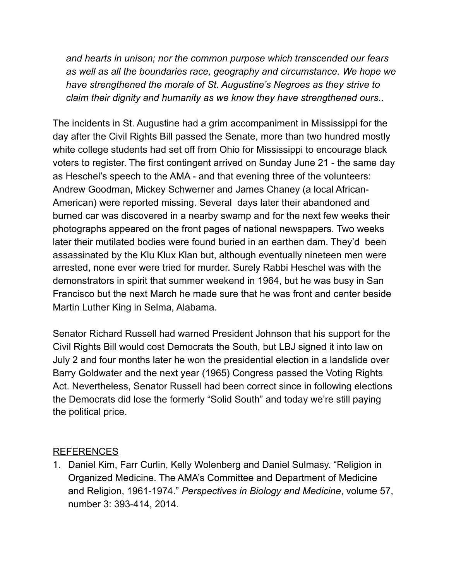*and hearts in unison; nor the common purpose which transcended our fears as well as all the boundaries race, geography and circumstance. We hope we have strengthened the morale of St. Augustine's Negroes as they strive to claim their dignity and humanity as we know they have strengthened ours*..

The incidents in St. Augustine had a grim accompaniment in Mississippi for the day after the Civil Rights Bill passed the Senate, more than two hundred mostly white college students had set off from Ohio for Mississippi to encourage black voters to register. The first contingent arrived on Sunday June 21 - the same day as Heschel's speech to the AMA - and that evening three of the volunteers: Andrew Goodman, Mickey Schwerner and James Chaney (a local African-American) were reported missing. Several days later their abandoned and burned car was discovered in a nearby swamp and for the next few weeks their photographs appeared on the front pages of national newspapers. Two weeks later their mutilated bodies were found buried in an earthen dam. They'd been assassinated by the Klu Klux Klan but, although eventually nineteen men were arrested, none ever were tried for murder. Surely Rabbi Heschel was with the demonstrators in spirit that summer weekend in 1964, but he was busy in San Francisco but the next March he made sure that he was front and center beside Martin Luther King in Selma, Alabama.

Senator Richard Russell had warned President Johnson that his support for the Civil Rights Bill would cost Democrats the South, but LBJ signed it into law on July 2 and four months later he won the presidential election in a landslide over Barry Goldwater and the next year (1965) Congress passed the Voting Rights Act. Nevertheless, Senator Russell had been correct since in following elections the Democrats did lose the formerly "Solid South" and today we're still paying the political price.

## REFERENCES

1. Daniel Kim, Farr Curlin, Kelly Wolenberg and Daniel Sulmasy. "Religion in Organized Medicine. The AMA's Committee and Department of Medicine and Religion, 1961-1974." *Perspectives in Biology and Medicine*, volume 57, number 3: 393-414, 2014.